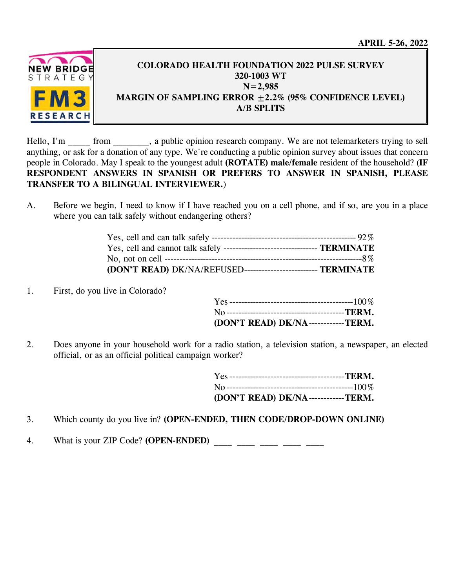

# **COLORADO HEALTH FOUNDATION 2022 PULSE SURVEY 320-1003 WT N=2,985 MARGIN OF SAMPLING ERROR ±2.2% (95% CONFIDENCE LEVEL) A/B SPLITS**

Hello, I'm from , a public opinion research company. We are not telemarketers trying to sell anything, or ask for a donation of any type. We're conducting a public opinion survey about issues that concern people in Colorado. May I speak to the youngest adult **(ROTATE) male/female** resident of the household? **(IF RESPONDENT ANSWERS IN SPANISH OR PREFERS TO ANSWER IN SPANISH, PLEASE TRANSFER TO A BILINGUAL INTERVIEWER.**)

A. Before we begin, I need to know if I have reached you on a cell phone, and if so, are you in a place where you can talk safely without endangering others?

| Yes, cell and cannot talk safely ---------------------------------- TERMINATE |  |
|-------------------------------------------------------------------------------|--|
|                                                                               |  |
| (DON'T READ) DK/NA/REFUSED-------------------------- TERMINATE                |  |

1. First, do you live in Colorado?

| (DON'T READ) DK/NA------------TERM. |  |
|-------------------------------------|--|

2. Does anyone in your household work for a radio station, a television station, a newspaper, an elected official, or as an official political campaign worker?

| (DON'T READ) DK/NA------------TERM. |  |
|-------------------------------------|--|

- 3. Which county do you live in? **(OPEN-ENDED, THEN CODE/DROP-DOWN ONLINE)**
- 4. What is your ZIP Code? **(OPEN-ENDED)** \_\_\_\_ \_\_\_\_ \_\_\_\_ \_\_\_\_ \_\_\_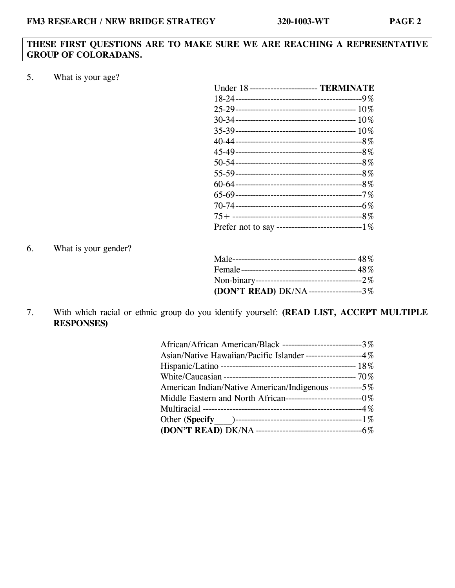## **THESE FIRST QUESTIONS ARE TO MAKE SURE WE ARE REACHING A REPRESENTATIVE GROUP OF COLORADANS.**

5. What is your age?

| Under 18 ----------------------- TERMINATE           |
|------------------------------------------------------|
|                                                      |
|                                                      |
|                                                      |
|                                                      |
|                                                      |
|                                                      |
|                                                      |
|                                                      |
|                                                      |
|                                                      |
|                                                      |
|                                                      |
| Prefer not to say --------------------------------1% |

6. What is your gender?

| (DON'T READ) DK/NA------------------3% |  |
|----------------------------------------|--|

7. With which racial or ethnic group do you identify yourself: **(READ LIST, ACCEPT MULTIPLE RESPONSES)**

| African/African American/Black ---------------------------3% |
|--------------------------------------------------------------|
| Asian/Native Hawaiian/Pacific Islander ------------------4%  |
|                                                              |
|                                                              |
| American Indian/Native American/Indigenous-----------5%      |
|                                                              |
|                                                              |
|                                                              |
|                                                              |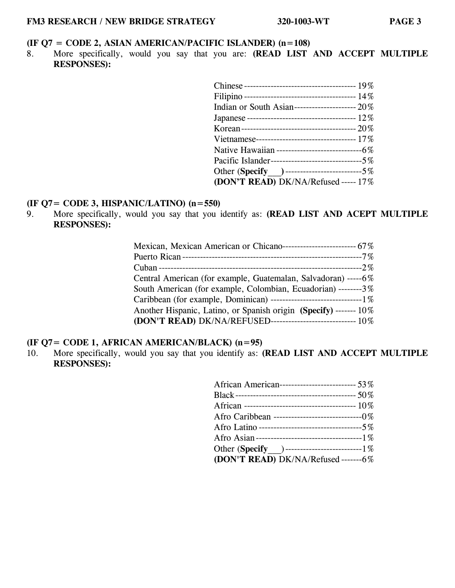#### **(IF Q7 = CODE 2, ASIAN AMERICAN/PACIFIC ISLANDER) (n=108)**

8. More specifically, would you say that you are: **(READ LIST AND ACCEPT MULTIPLE RESPONSES):**

| Indian or South Asian---------------------- $20\%$  |  |
|-----------------------------------------------------|--|
|                                                     |  |
|                                                     |  |
|                                                     |  |
| Native Hawaiian -----------------------------6%     |  |
| Pacific Islander---------------------------------5% |  |
| Other (Specify )----------------------------5%      |  |
| (DON'T READ) DK/NA/Refused ----- 17%                |  |

# **(IF Q7= CODE 3, HISPANIC/LATINO) (n=550)**

9. More specifically, would you say that you identify as: **(READ LIST AND ACEPT MULTIPLE RESPONSES):** 

| Mexican, Mexican American or Chicano-------------------------- 67% |
|--------------------------------------------------------------------|
|                                                                    |
|                                                                    |
| Central American (for example, Guatemalan, Salvadoran) -----6%     |
| South American (for example, Colombian, Ecuadorian) --------3%     |
|                                                                    |
| Another Hispanic, Latino, or Spanish origin (Specify) ------- 10%  |
| (DON'T READ) DK/NA/REFUSED----------------------------- 10%        |

## **(IF Q7= CODE 1, AFRICAN AMERICAN/BLACK) (n=95)**

10. More specifically, would you say that you identify as: **(READ LIST AND ACCEPT MULTIPLE RESPONSES):** 

| African American----------------------------- 53% |
|---------------------------------------------------|
|                                                   |
|                                                   |
|                                                   |
|                                                   |
|                                                   |
| Other (Specify ) -----------------------------1%  |
| (DON'T READ) DK/NA/Refused -------6%              |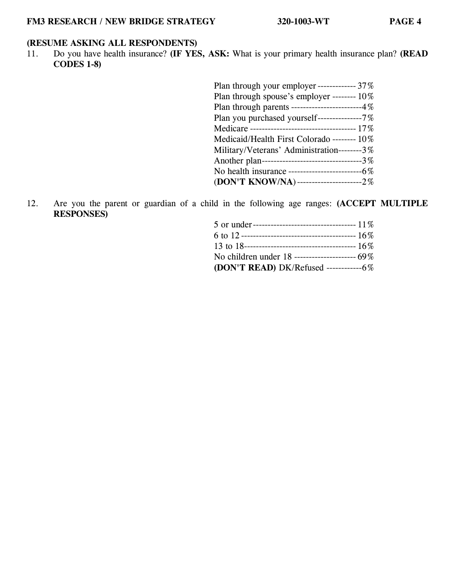# **(RESUME ASKING ALL RESPONDENTS)**

11. Do you have health insurance? **(IF YES, ASK:** What is your primary health insurance plan? **(READ CODES 1-8)** 

| Plan through your employer ------------- 37%    |
|-------------------------------------------------|
| Plan through spouse's employer -------- $10\%$  |
| Plan through parents ------------------------4% |
| Plan you purchased yourself---------------7%    |
|                                                 |
| Medicaid/Health First Colorado -------- 10%     |
| Military/Veterans' Administration--------3%     |
| Another plan---------------------------------3% |
|                                                 |
| (DON'T KNOW/NA)-------------------------2%      |

12. Are you the parent or guardian of a child in the following age ranges: **(ACCEPT MULTIPLE RESPONSES)**

| (DON'T READ) DK/Refused -----------------6% |
|---------------------------------------------|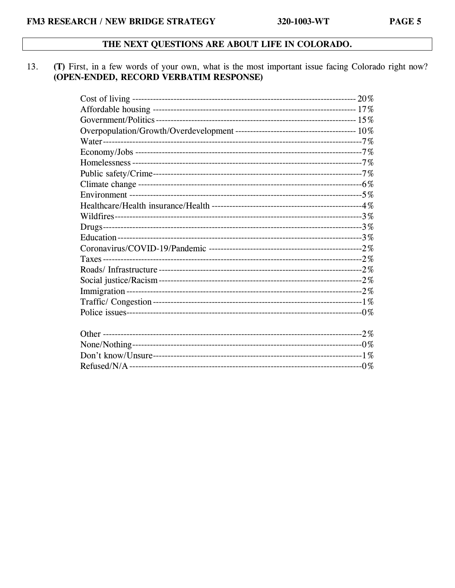## THE NEXT QUESTIONS ARE ABOUT LIFE IN COLORADO.

#### (T) First, in a few words of your own, what is the most important issue facing Colorado right now? 13. (OPEN-ENDED, RECORD VERBATIM RESPONSE)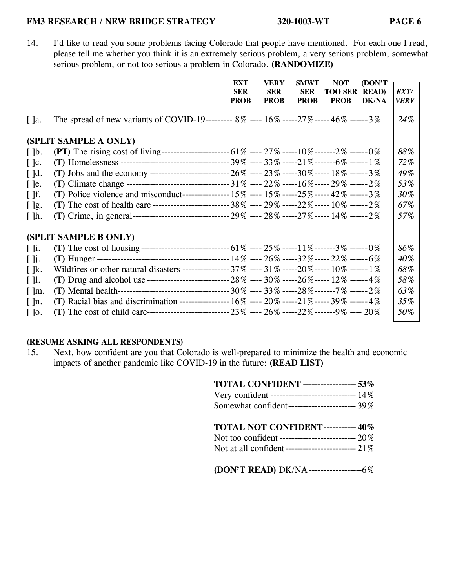14. I'd like to read you some problems facing Colorado that people have mentioned. For each one I read, please tell me whether you think it is an extremely serious problem, a very serious problem, somewhat serious problem, or not too serious a problem in Colorado. **(RANDOMIZE)** 

|                          |                                                                                                          | EXT         | <b>VERY</b> | <b>SMWT</b> | <b>NOT</b>     | (DON'T       |             |
|--------------------------|----------------------------------------------------------------------------------------------------------|-------------|-------------|-------------|----------------|--------------|-------------|
|                          |                                                                                                          | <b>SER</b>  | <b>SER</b>  | <b>SER</b>  | <b>TOO SER</b> | <b>READ</b>  | EXT/        |
|                          |                                                                                                          | <b>PROB</b> | <b>PROB</b> | <b>PROB</b> | <b>PROB</b>    | <b>DK/NA</b> | <b>VERY</b> |
| $\lceil$ ]a.             | The spread of new variants of COVID-19--------- 8% ---- 16% -----27% ----- 46% ------ 3%                 |             |             |             |                |              | 24\%        |
|                          | (SPLIT SAMPLE A ONLY)                                                                                    |             |             |             |                |              |             |
| $\lceil \cdot \rceil$    | (PT) The rising cost of living------------------------------- 61% ----- 27% ------10% -------2% ------0% |             |             |             |                |              | 88%         |
| $\lceil \cdot \rceil$ c. |                                                                                                          |             |             |             |                |              | 72%         |
| $\lceil$ $\lceil$ d.     |                                                                                                          |             |             |             |                |              | 49%         |
| $\lceil$ le.             |                                                                                                          |             |             |             |                |              | 53%         |
| $\lceil \cdot \rceil$ f. | (T) Police violence and misconduct------------------ 15% ---- 15% -----25% ----- 42% ------ 3%           |             |             |             |                |              | 30%         |
| $[$ $]$ g.               | (T) The cost of health care ------------------------------ 38% ---- 29% -----22% ----- 10% ------2%      |             |             |             |                |              | 67%         |
| $\lceil \cdot \rceil$ h. |                                                                                                          |             |             |             |                |              | 57%         |
|                          | (SPLIT SAMPLE B ONLY)                                                                                    |             |             |             |                |              |             |
| $\lceil \cdot \rceil$ i. |                                                                                                          |             |             |             |                |              | 86%         |
| $\lceil \cdot \rceil$    |                                                                                                          |             |             |             |                |              | 40%         |
| $\lceil \cdot \rceil$ k. | Wildfires or other natural disasters ---------------- 37% ---- 31% -----20% ----- 10% ------ 1%          |             |             |             |                |              | 68%         |
| $\lceil \cdot \rceil$    |                                                                                                          |             |             |             |                |              | 58%         |
| $\lceil \ln$ .           |                                                                                                          |             |             |             |                |              | 63%         |
| [ ]n.                    | (T) Racial bias and discrimination ------------------ 16% ---- 20% -----21% ----- 39% ------ 4%          |             |             |             |                |              | 35%         |
| $\lceil \cdot \rceil$    |                                                                                                          |             |             |             |                |              | 50%         |

## **(RESUME ASKING ALL RESPONDENTS)**

15. Next, how confident are you that Colorado is well-prepared to minimize the health and economic impacts of another pandemic like COVID-19 in the future: **(READ LIST)**

| <b>TOTAL CONFIDENT ----------------- 53%</b><br>Very confident --------------------------------- 14%<br>Somewhat confident------------------------ 39% |
|--------------------------------------------------------------------------------------------------------------------------------------------------------|
| <b>TOTAL NOT CONFIDENT----------- 40%</b>                                                                                                              |
| (DON'T READ) DK/NA----------------------6%                                                                                                             |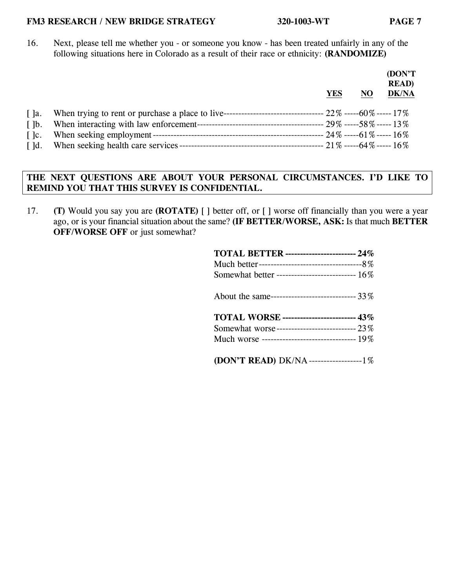16. Next, please tell me whether you - or someone you know - has been treated unfairly in any of the following situations here in Colorado as a result of their race or ethnicity: **(RANDOMIZE)**

|                          | YES | NO | (DON'T<br><b>READ</b> )<br><b>DK/NA</b> |
|--------------------------|-----|----|-----------------------------------------|
| $\lceil$ $\rceil$ a.     |     |    |                                         |
| $\lceil \cdot \rceil$    |     |    |                                         |
| $\lceil \cdot \rceil$ c. |     |    |                                         |
| $\lceil$ d.              |     |    |                                         |

# **THE NEXT QUESTIONS ARE ABOUT YOUR PERSONAL CIRCUMSTANCES. I'D LIKE TO REMIND YOU THAT THIS SURVEY IS CONFIDENTIAL.**

17. **(T)** Would you say you are **(ROTATE)** [ ] better off, or [ ] worse off financially than you were a year ago, or is your financial situation about the same? **(IF BETTER/WORSE, ASK:** Is that much **BETTER OFF/WORSE OFF** or just somewhat?

| <b>TOTAL BETTER ---------------------- 24%</b>   |
|--------------------------------------------------|
|                                                  |
| Somewhat better --------------------------- 16%  |
| About the same------------------------------ 33% |
| <b>TOTAL WORSE</b> ------------------------ 43%  |
| Somewhat worse---------------------------- 23%   |
| Much worse -------------------------------- 19%  |
| (DON'T READ) DK/NA-------------------1%          |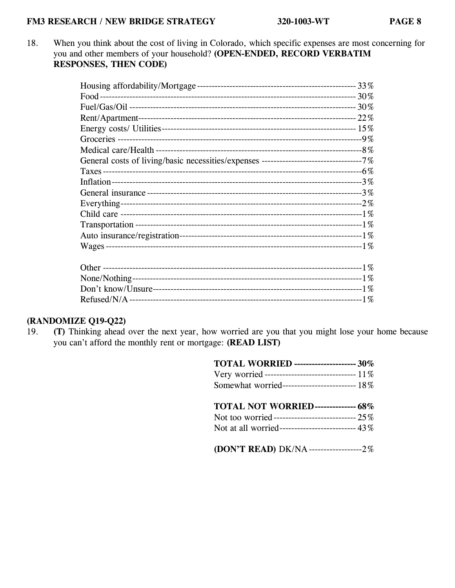18. When you think about the cost of living in Colorado, which specific expenses are most concerning for you and other members of your household? **(OPEN-ENDED, RECORD VERBATIM RESPONSES, THEN CODE)**

# **(RANDOMIZE Q19-Q22)**

19. **(T)** Thinking ahead over the next year, how worried are you that you might lose your home because you can't afford the monthly rent or mortgage: **(READ LIST)**

| <b>TOTAL WORRIED</b> --------------------- 30%      |
|-----------------------------------------------------|
| Very worried ------------------------------ 11%     |
| Somewhat worried------------------------- 18%       |
| TOTAL NOT WORRIED-------------- 68%                 |
| Not too worried-------------------------------- 25% |
| Not at all worried-------------------------- 43%    |
| (DON'T READ) DK/NA---------------------2%           |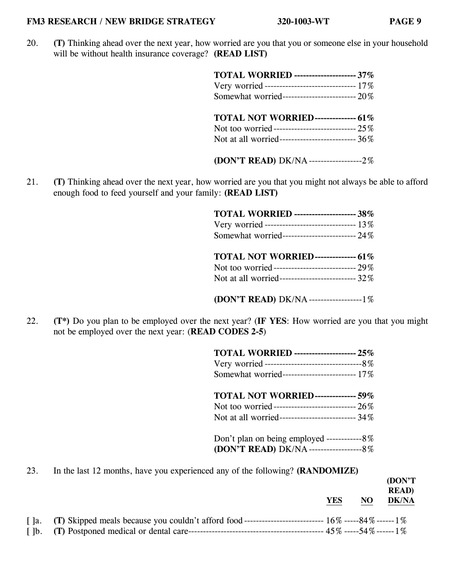20. **(T)** Thinking ahead over the next year, how worried are you that you or someone else in your household will be without health insurance coverage? **(READ LIST)** 

| TOTAL WORRIED --------------------- 37%           |  |
|---------------------------------------------------|--|
| Very worried ------------------------------ 17%   |  |
| Somewhat worried-------------------------- 20%    |  |
| TOTAL NOT WORRIED-------------- 61%               |  |
| Not too worried------------------------------ 25% |  |
| Not at all worried-------------------------- 36%  |  |
| (DON'T READ) DK/NA-------------------2%           |  |

21. **(T)** Thinking ahead over the next year, how worried are you that you might not always be able to afford enough food to feed yourself and your family: **(READ LIST)**

| <b>TOTAL WORRIED</b> --------------------- 38%   |  |
|--------------------------------------------------|--|
| Very worried ------------------------------ 13%  |  |
| Somewhat worried-------------------------- 24%   |  |
|                                                  |  |
| <b>TOTAL NOT WORRIED-------------- 61%</b>       |  |
| Not too worried----------------------------- 29% |  |
| Not at all worried------------------------- 32%  |  |

**(DON'T READ)** DK/NA ------------------ 1%

22. **(T\*)** Do you plan to be employed over the next year? (**IF YES**: How worried are you that you might not be employed over the next year: (**READ CODES 2-5**)

23. In the last 12 months, have you experienced any of the following? **(RANDOMIZE)**

|                          |                                                                                                                   |            |     | (DON'T)<br><b>READ</b> |
|--------------------------|-------------------------------------------------------------------------------------------------------------------|------------|-----|------------------------|
|                          |                                                                                                                   | <b>YES</b> | NO. | <b>DK/NA</b>           |
|                          | [ ]a. (T) Skipped meals because you couldn't afford food ------------------------------ 16\% ------84\% ------1\% |            |     |                        |
| $\lceil \cdot \rceil$ b. |                                                                                                                   |            |     |                        |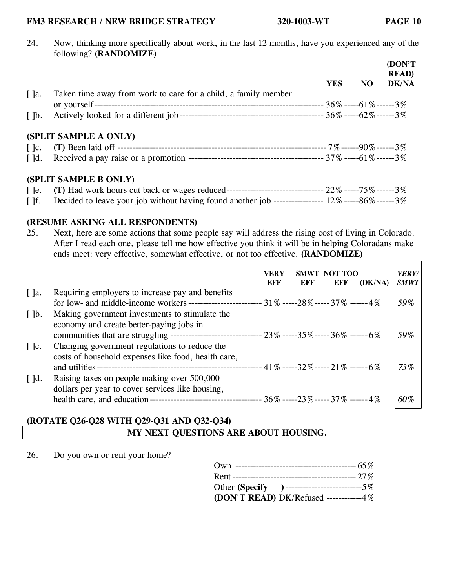٦

24. Now, thinking more specifically about work, in the last 12 months, have you experienced any of the following? **(RANDOMIZE)**

|                          |                                                                |            |    | (DON'T<br><b>READ</b> ) |
|--------------------------|----------------------------------------------------------------|------------|----|-------------------------|
|                          |                                                                | <b>YES</b> | NO | <b>DK/NA</b>            |
| $\lceil$ ]a.             | Taken time away from work to care for a child, a family member |            |    |                         |
|                          |                                                                |            |    |                         |
| $\lceil \cdot \rceil$ b. |                                                                |            |    |                         |
|                          | (SPLIT SAMPLE A ONLY)                                          |            |    |                         |
| $\lceil \cdot \rceil$ c. |                                                                |            |    |                         |
| $\lceil$ d.              |                                                                |            |    |                         |
|                          | (SPLIT SAMPLE B ONLY)                                          |            |    |                         |
|                          |                                                                |            |    |                         |

[ ]f. Decided to leave your job without having found another job ----------------  $12\%$  -----86% ------ 3%

## **(RESUME ASKING ALL RESPONDENTS)**

25. Next, here are some actions that some people say will address the rising cost of living in Colorado. After I read each one, please tell me how effective you think it will be in helping Coloradans make ends meet: very effective, somewhat effective, or not too effective. **(RANDOMIZE)**

|                                                   |                                                                                                                                                                                                          | VERY<br>EFF | EFF | SMWT NOT TOO<br>EFF | (DK/NA) | <b>VERY/</b><br><b>SMWT</b> |
|---------------------------------------------------|----------------------------------------------------------------------------------------------------------------------------------------------------------------------------------------------------------|-------------|-----|---------------------|---------|-----------------------------|
| $\lceil \cdot \rceil$ a.<br>$\lceil \cdot \rceil$ | Requiring employers to increase pay and benefits<br>for low- and middle-income workers ------------------------- $31\%$ -----28% ----- $37\%$ ------4%<br>Making government investments to stimulate the |             |     |                     |         | 59%                         |
| $\lceil \cdot \rceil$ c.                          | economy and create better-paying jobs in<br>Changing government regulations to reduce the                                                                                                                |             |     |                     |         | 59%                         |
| $\lceil$ $\lceil$ d.                              | costs of household expenses like food, health care,<br>Raising taxes on people making over 500,000                                                                                                       |             |     |                     |         | 73%                         |
|                                                   | dollars per year to cover services like housing,                                                                                                                                                         |             |     |                     |         | 60%                         |

# **(ROTATE Q26-Q28 WITH Q29-Q31 AND Q32-Q34) MY NEXT QUESTIONS ARE ABOUT HOUSING.**

26. Do you own or rent your home?

| Other (Specify ) -------------------------------5% |
|----------------------------------------------------|
| (DON'T READ) DK/Refused ------------4%             |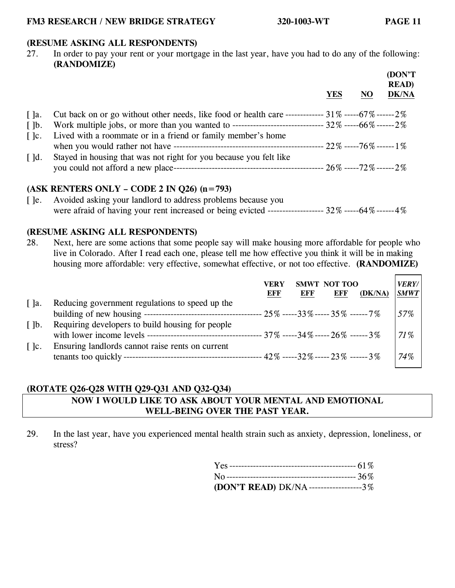## **(RESUME ASKING ALL RESPONDENTS)**

27. In order to pay your rent or your mortgage in the last year, have you had to do any of the following: **(RANDOMIZE)**

|                          |                                                                                                                 | YES | NO | (DON'T<br><b>READ</b> )<br><b>DK/NA</b> |
|--------------------------|-----------------------------------------------------------------------------------------------------------------|-----|----|-----------------------------------------|
| $\lceil$ $\rceil$ a.     | Cut back on or go without other needs, like food or health care ------------- $31\%$ ------ $67\%$ ------ $2\%$ |     |    |                                         |
| $\lceil \cdot \rceil$    | Work multiple jobs, or more than you wanted to -------------------------------- 32% -----66% ------2%           |     |    |                                         |
| $\lceil \cdot \rceil$ c. | Lived with a roommate or in a friend or family member's home                                                    |     |    |                                         |
| $\lceil$ d.              | Stayed in housing that was not right for you because you felt like                                              |     |    |                                         |

#### **(ASK RENTERS ONLY – CODE 2 IN Q26) (n=793)**

[ ]e. Avoided asking your landlord to address problems because you were afraid of having your rent increased or being evicted ------------------ 32% ----- 64% ------ 4%

#### **(RESUME ASKING ALL RESPONDENTS)**

28. Next, here are some actions that some people say will make housing more affordable for people who live in Colorado. After I read each one, please tell me how effective you think it will be in making housing more affordable: very effective, somewhat effective, or not too effective. **(RANDOMIZE)**

|                          |                                                  | VERY<br>EFF | <b>EFF</b> | SMWT NOT TOO<br>EFF | (DK/NA) | <b>VERY/</b><br><b>SMWT</b> |
|--------------------------|--------------------------------------------------|-------------|------------|---------------------|---------|-----------------------------|
| $\lceil$ $\rceil$ a.     | Reducing government regulations to speed up the  |             |            |                     |         | 57%                         |
| $\lceil \cdot \rceil$    | Requiring developers to build housing for people |             |            |                     |         | 71%                         |
| $\lceil \cdot \rceil$ c. | Ensuring landlords cannot raise rents on current |             |            |                     |         | 74%                         |

#### **(ROTATE Q26-Q28 WITH Q29-Q31 AND Q32-Q34)**

## **NOW I WOULD LIKE TO ASK ABOUT YOUR MENTAL AND EMOTIONAL WELL-BEING OVER THE PAST YEAR.**

29. In the last year, have you experienced mental health strain such as anxiety, depression, loneliness, or stress?

| (DON'T READ) DK/NA--------------------3% |  |
|------------------------------------------|--|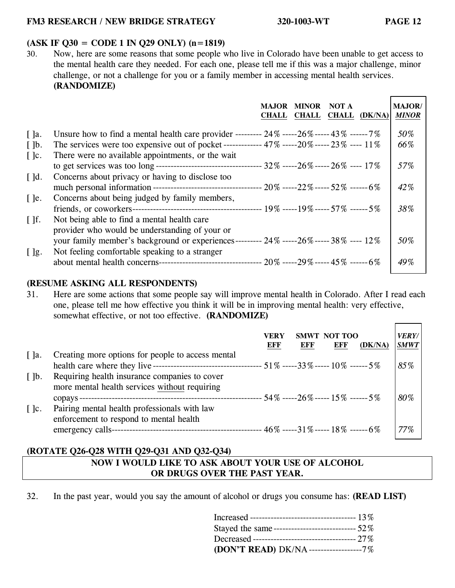#### **(ASK IF Q30 = CODE 1 IN Q29 ONLY) (n=1819)**

30. Now, here are some reasons that some people who live in Colorado have been unable to get access to the mental health care they needed. For each one, please tell me if this was a major challenge, minor challenge, or not a challenge for you or a family member in accessing mental health services. **(RANDOMIZE)**

|                          |                                                                                                      | <b>MAJOR</b><br><b>CHALL</b> | <b>MINOR</b><br><b>CHALL</b> | NOT A<br><b>CHALL</b> | (DK/NA) | <b>MAJOR/</b><br><b>MINOR</b> |
|--------------------------|------------------------------------------------------------------------------------------------------|------------------------------|------------------------------|-----------------------|---------|-------------------------------|
| $\lceil$ ]a.             | Unsure how to find a mental health care provider --------- $24\%$ -----26% ----- $43\%$ ------ $7\%$ |                              |                              |                       |         | 50%                           |
| $\lceil \cdot \rceil$    | The services were too expensive out of pocket ------------- $47\%$ -----20% ----- $23\%$ ---- $11\%$ |                              |                              |                       |         | 66%                           |
| $\lceil \cdot \rceil$ c. | There were no available appointments, or the wait                                                    |                              |                              |                       |         |                               |
|                          |                                                                                                      |                              |                              |                       |         | 57%                           |
| $\lceil$ $\lceil$ d.     | Concerns about privacy or having to disclose too                                                     |                              |                              |                       |         |                               |
|                          |                                                                                                      |                              |                              |                       |         | 42%                           |
| $\lceil$ le.             | Concerns about being judged by family members,                                                       |                              |                              |                       |         |                               |
|                          |                                                                                                      |                              |                              |                       |         | 38%                           |
| $\lceil \cdot \rceil$    | Not being able to find a mental health care                                                          |                              |                              |                       |         |                               |
|                          | provider who would be understanding of your or                                                       |                              |                              |                       |         |                               |
|                          | your family member's background or experiences--------- 24% ----- 26% ----- 38% ---- 12%             |                              |                              |                       |         | 50%                           |
| $[$ $]$ g.               | Not feeling comfortable speaking to a stranger                                                       |                              |                              |                       |         |                               |
|                          |                                                                                                      |                              |                              |                       |         | 49%                           |

#### **(RESUME ASKING ALL RESPONDENTS)**

31. Here are some actions that some people say will improve mental health in Colorado. After I read each one, please tell me how effective you think it will be in improving mental health: very effective, somewhat effective, or not too effective. **(RANDOMIZE)**

|                          | VERY<br>NOT TOO<br><b>SMWT</b><br>EFF<br>EFF<br>EFF<br>(DK/NA) | <b>VERY/</b><br><b>SMWT</b> |
|--------------------------|----------------------------------------------------------------|-----------------------------|
| $\lceil$ $\rceil$ a.     | Creating more options for people to access mental              |                             |
|                          |                                                                | 85%                         |
| $\lceil \cdot \rceil$    | Requiring health insurance companies to cover                  |                             |
|                          | more mental health services without requiring                  |                             |
|                          | ---------------------- 54% -----26% ----- 15% ------ 5%        | 80%                         |
| $\lceil \cdot \rceil$ c. | Pairing mental health professionals with law                   |                             |
|                          | enforcement to respond to mental health                        |                             |
|                          | $-46\%$ -----31% ----- 18% ------ 6%<br>emergency calls-       | 77%                         |

## **(ROTATE Q26-Q28 WITH Q29-Q31 AND Q32-Q34)**

# **NOW I WOULD LIKE TO ASK ABOUT YOUR USE OF ALCOHOL OR DRUGS OVER THE PAST YEAR.**

32. In the past year, would you say the amount of alcohol or drugs you consume has: **(READ LIST)**

| Stayed the same-------------------------------- 52% |  |
|-----------------------------------------------------|--|
| Decreased ----------------------------------- 27%   |  |
| (DON'T READ) DK/NA------------------7%              |  |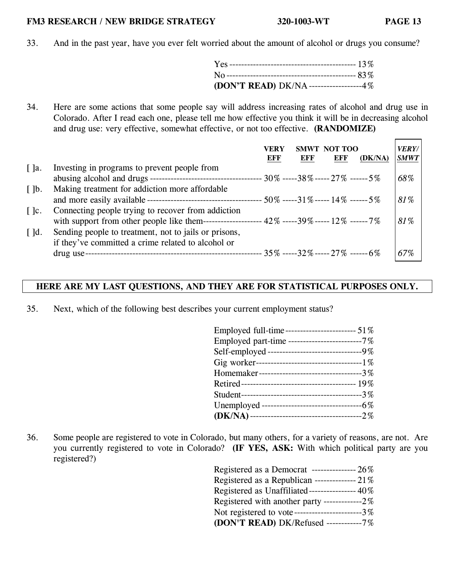33. And in the past year, have you ever felt worried about the amount of alcohol or drugs you consume?

| (DON'T READ) DK/NA------------------4% |  |
|----------------------------------------|--|

34. Here are some actions that some people say will address increasing rates of alcohol and drug use in Colorado. After I read each one, please tell me how effective you think it will be in decreasing alcohol and drug use: very effective, somewhat effective, or not too effective. **(RANDOMIZE)** 

|                          |                                                                                                  | VERY<br>EFF | <b>SMWT</b><br>EFF | NOT TOO<br><b>EFF</b> | (DK/NA) | <i><b>VERY/</b></i><br><b>SMWT</b> |
|--------------------------|--------------------------------------------------------------------------------------------------|-------------|--------------------|-----------------------|---------|------------------------------------|
| $\lceil$ $\rceil$ a.     | Investing in programs to prevent people from                                                     |             |                    |                       |         |                                    |
|                          |                                                                                                  |             |                    |                       |         | 68%                                |
| $\lceil \cdot \rceil$    | Making treatment for addiction more affordable                                                   |             |                    |                       |         |                                    |
|                          |                                                                                                  |             |                    |                       |         | 81%                                |
| $\lceil \cdot \rceil$ c. | Connecting people trying to recover from addiction                                               |             |                    |                       |         |                                    |
|                          | ----------------- 42% -----39% ----- 12% ------ 7%<br>with support from other people like them-- |             |                    |                       |         | 81%                                |
| $\lceil$ $\lceil$ d.     | Sending people to treatment, not to jails or prisons,                                            |             |                    |                       |         |                                    |
|                          | if they've committed a crime related to alcohol or                                               |             |                    |                       |         |                                    |
|                          | drug use-                                                                                        |             |                    |                       |         | 67%                                |

## **HERE ARE MY LAST QUESTIONS, AND THEY ARE FOR STATISTICAL PURPOSES ONLY.**

35. Next, which of the following best describes your current employment status?

| Employed full-time------------------------ 51%    |
|---------------------------------------------------|
| Employed part-time ------------------------7%     |
| Self-employed ---------------------------------9% |
|                                                   |
| Homemaker----------------------------------3%     |
|                                                   |
|                                                   |
|                                                   |
|                                                   |

36. Some people are registered to vote in Colorado, but many others, for a variety of reasons, are not. Are you currently registered to vote in Colorado? **(IF YES, ASK:** With which political party are you registered?)

| Registered as a Democrat ---------------- 26%    |
|--------------------------------------------------|
| Registered as a Republican --------------- 21%   |
| Registered as Unaffiliated---------------- 40%   |
| Registered with another party --------------2%   |
| Not registered to vote------------------------3% |
| (DON'T READ) DK/Refused -----------7%            |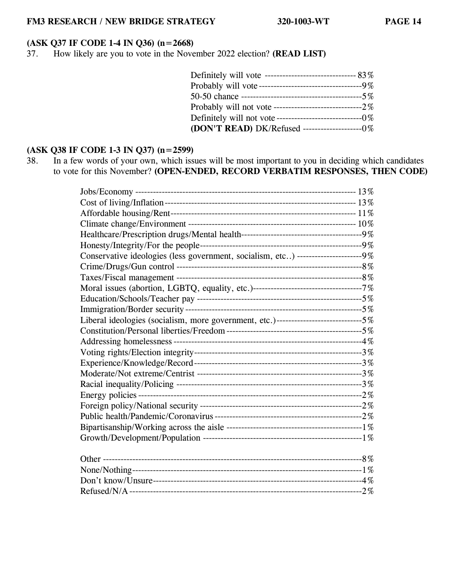# **(ASK Q37 IF CODE 1-4 IN Q36) (n=2668)**

37. How likely are you to vote in the November 2022 election? **(READ LIST)**

| Probably will vote-----------------------------------9% |  |
|---------------------------------------------------------|--|
|                                                         |  |
|                                                         |  |
| Definitely will not vote-----------------------------0% |  |
| (DON'T READ) DK/Refused ---------------------0%         |  |

## **(ASK Q38 IF CODE 1-3 IN Q37) (n=2599)**

38. In a few words of your own, which issues will be most important to you in deciding which candidates to vote for this November? **(OPEN-ENDED, RECORD VERBATIM RESPONSES, THEN CODE)**

| Conservative ideologies (less government, socialism, etc) -----------------------9%    |  |
|----------------------------------------------------------------------------------------|--|
|                                                                                        |  |
|                                                                                        |  |
|                                                                                        |  |
|                                                                                        |  |
|                                                                                        |  |
| Liberal ideologies (socialism, more government, etc.)-------------------------------5% |  |
|                                                                                        |  |
|                                                                                        |  |
|                                                                                        |  |
|                                                                                        |  |
|                                                                                        |  |
|                                                                                        |  |
|                                                                                        |  |
|                                                                                        |  |
|                                                                                        |  |
|                                                                                        |  |
|                                                                                        |  |
|                                                                                        |  |
|                                                                                        |  |
|                                                                                        |  |
|                                                                                        |  |
|                                                                                        |  |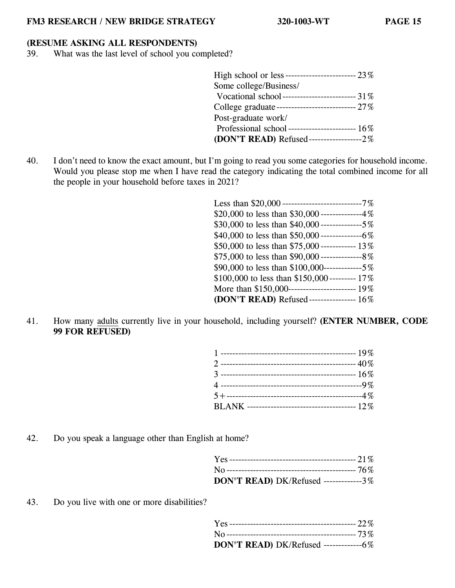#### **(RESUME ASKING ALL RESPONDENTS)**

39. What was the last level of school you completed?

40. I don't need to know the exact amount, but I'm going to read you some categories for household income. Would you please stop me when I have read the category indicating the total combined income for all the people in your household before taxes in 2021?

| Less than $$20,000$ ----------------------------7% |
|----------------------------------------------------|
| \$20,000 to less than \$30,000 --------------4%    |
|                                                    |
|                                                    |
| \$50,000 to less than \$75,000 ------------- 13%   |
|                                                    |
|                                                    |
| \$100,000 to less than \$150,000 --------- 17%     |
|                                                    |
| (DON'T READ) Refused----------------- 16%          |

41. How many adults currently live in your household, including yourself? **(ENTER NUMBER, CODE 99 FOR REFUSED)**

42. Do you speak a language other than English at home?

| DON'T READ) DK/Refused -------------3% |  |
|----------------------------------------|--|

43. Do you live with one or more disabilities?

| DON'T READ) DK/Refused --------------6% |  |
|-----------------------------------------|--|